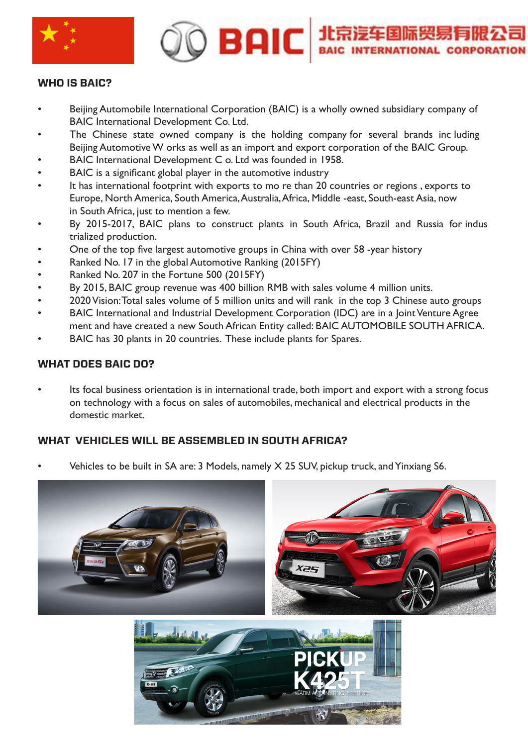

# **BAIC 北京淳年国际贸易有限公司**

#### **WHO IS BAIC?**

- Beijing Automobile International Corporation (BAIC) is a wholly owned subsidiary company of BAIC International Development Co. Ltd.
- The Chinese state owned company is the holding company for several brands including Beijing Automotive W orks as well as an import and export corporation of the BAIC Group.
- BAIC International Development C o. Ltd was founded in 1958.
- BAIC is a significant global player in the automotive industry
- It has international footprint with exports to mo re than 20 countries or regions, exports to Europe, North America, South America, Australia, Africa, Middle -east, South-east Asia, now in South Africa, just to mention a few.
- By 2015-2017, BAIC plans to construct plants in South Africa, Brazil and Russia for indus trialized production.
- One of the top five largest automotive groups in China with over 58 -year history
- Ranked No. 17 in the global Automotive Ranking (2015FY)
- Ranked No. 207 in the Fortune 500 (2015FY)
- By 2015, BAIC group revenue was 400 billion RMB with sales volume 4 million units.
- 2020 Vision: Total sales volume of 5 million units and will rank in the top 3 Chinese auto groups
- BAIC International and Industrial Development Corporation (IDC) are in a Joint Venture Agree ment and have created a new South African Entity called: BAIC AUTOMOBILE SOUTH AFRICA.
- BAIC has 30 plants in 20 countries. These include plants for Spares.

# **WHAT DOES BAIC DO?**

Its focal business orientation is in international trade, both import and export with a strong focus on technology with a focus on sales of automobiles, mechanical and electrical products in the domestic market.

# **WHAT VEHICLES WILL BE ASSEMBLED IN SOUTH AFRICA?**

• Vehicles to be built in SA are: 3 Models, namely X 25 SUV, pickup truck, and Yinxiang S6.

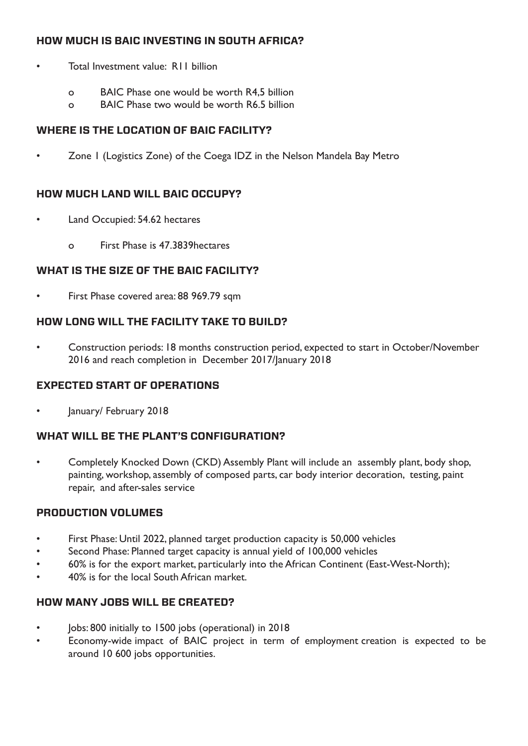# **HOW MUCH IS BAIC INVESTING IN SOUTH AFRICA?**

- Total Investment value: R11 billion
	- o BAIC Phase one would be worth R4,5 billion
	- o BAIC Phase two would be worth R6.5 billion

#### **WHERE IS THE LOCATION OF BAIC FACILITY?**

• Zone 1 (Logistics Zone) of the Coega IDZ in the Nelson Mandela Bay Metro

#### **HOW MUCH LAND WILL BAIC OCCUPY?**

- Land Occupied: 54.62 hectares
	- o First Phase is 47.3839hectares

#### **WHAT IS THE SIZE OF THE BAIC FACILITY?**

• First Phase covered area: 88 969.79 sqm

#### **HOW LONG WILL THE FACILITY TAKE TO BUILD?**

• Construction periods: 18 months construction period, expected to start in October/November 2016 and reach completion in December 2017/January 2018

#### **EXPECTED START OF OPERATIONS**

• January/ February 2018

#### **WHAT WILL BE THE PLANT'S CONFIGURATION?**

• Completely Knocked Down (CKD) Assembly Plant will include an assembly plant, body shop, painting, workshop, assembly of composed parts, car body interior decoration, testing, paint repair, and after-sales service

#### **PRODUCTION VOLUMES**

- First Phase: Until 2022, planned target production capacity is 50,000 vehicles
- Second Phase: Planned target capacity is annual yield of 100,000 vehicles
- 60% is for the export market, particularly into the African Continent (East-West-North);
- 40% is for the local South African market.

#### **HOW MANY JOBS WILL BE CREATED?**

- Jobs: 800 initially to 1500 jobs (operational) in 2018
- Economy-wide impact of BAIC project in term of employment creation is expected to be around 10 600 jobs opportunities.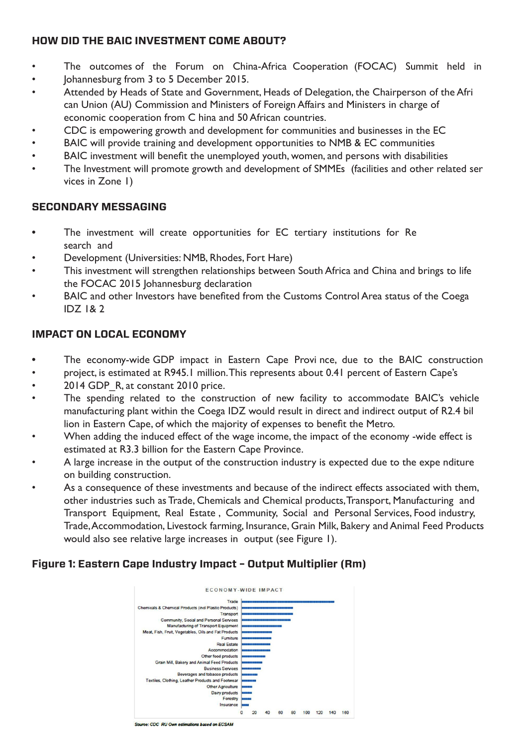# **HOW DID THE BAIC INVESTMENT COME ABOUT?**

- The outcomes of the Forum on China-Africa Cooperation (FOCAC) Summit held in
- Johannesburg from 3 to 5 December 2015.
- Attended by Heads of State and Government, Heads of Delegation, the Chairperson of the Afri can Union (AU) Commission and Ministers of Foreign Affairs and Ministers in charge of economic cooperation from C hina and 50 African countries.
- CDC is empowering growth and development for communities and businesses in the EC
- BAIC will provide training and development opportunities to NMB & EC communities
- BAIC investment will benefit the unemployed youth, women, and persons with disabilities
- The Investment will promote growth and development of SMMEs (facilities and other related ser vices in Zone 1)

# **SECONDARY MESSAGING**

- The investment will create opportunities for EC tertiary institutions for Re search and
- Development (Universities: NMB, Rhodes, Fort Hare)
- This investment will strengthen relationships between South Africa and China and brings to life the FOCAC 2015 Johannesburg declaration
- BAIC and other Investors have benefited from the Customs Control Area status of the Coega IDZ 1& 2

# **IMPACT ON LOCAL ECONOMY**

- The economy-wide GDP impact in Eastern Cape Provi nce, due to the BAIC construction
- project, is estimated at R945.1 million. This represents about 0.41 percent of Eastern Cape's
- 2014 GDP R, at constant 2010 price.
- The spending related to the construction of new facility to accommodate BAIC's vehicle manufacturing plant within the Coega IDZ would result in direct and indirect output of R2.4 bil lion in Eastern Cape, of which the majority of expenses to benefit the Metro.
- When adding the induced effect of the wage income, the impact of the economy -wide effect is estimated at R3.3 billion for the Eastern Cape Province.
- A large increase in the output of the construction industry is expected due to the expe nditure on building construction.
- As a consequence of these investments and because of the indirect effects associated with them, other industries such as Trade, Chemicals and Chemical products, Transport, Manufacturing and Transport Equipment, Real Estate , Community, Social and Personal Services, Food industry, Trade, Accommodation, Livestock farming, Insurance, Grain Milk, Bakery and Animal Feed Products would also see relative large increases in output (see Figure 1).

# **Figure 1: Eastern Cape Industry Impact – Output Multiplier (Rm)**



Source: CDC\_RU Own estimations based on ECSAM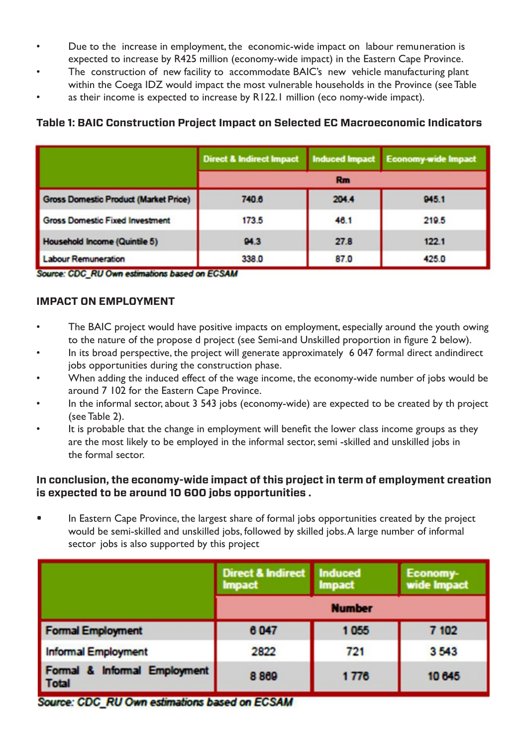- Due to the increase in employment, the economic-wide impact on labour remuneration is expected to increase by R425 million (economy-wide impact) in the Eastern Cape Province.
- The construction of new facility to accommodate BAIC's new vehicle manufacturing plant within the Coega IDZ would impact the most vulnerable households in the Province (see Table
- as their income is expected to increase by R122.1 million (eco nomy-wide impact).

# **Table 1: BAIC Construction Project Impact on Selected EC Macroeconomic Indicators**

|                                              | Direct & Indirect Impact   Induced Impact   Economy-wide Impact |       |       |  |
|----------------------------------------------|-----------------------------------------------------------------|-------|-------|--|
|                                              | <b>Rm</b>                                                       |       |       |  |
| <b>Gross Domestic Product (Market Price)</b> | 740.6                                                           | 204.4 | 945.1 |  |
| <b>Gross Domestic Fixed Investment</b>       | 173.5                                                           | 46.1  | 219.5 |  |
| Household Income (Quintile 5)                | 94.3                                                            | 27.8  | 122.1 |  |
| <b>Labour Remuneration</b>                   | 338.0                                                           | 87.0  | 425.0 |  |

Source: CDC\_RU Own estimations based on ECSAM

#### **IMPACT ON EMPLOYMENT**

- The BAIC project would have positive impacts on employment, especially around the youth owing to the nature of the propose d project (see Semi-and Unskilled proportion in figure 2 below).
- In its broad perspective, the project will generate approximately 6 047 formal direct andindirect jobs opportunities during the construction phase.
- When adding the induced effect of the wage income, the economy-wide number of jobs would be around 7 102 for the Eastern Cape Province.
- In the informal sector, about 3 543 jobs (economy-wide) are expected to be created by th project (see Table 2).
- It is probable that the change in employment will benefit the lower class income groups as they are the most likely to be employed in the informal sector, semi -skilled and unskilled jobs in the formal sector.

#### **In conclusion, the economy-wide impact of this project in term of employment creation is expected to be around 10 600 jobs opportunities .**

In Eastern Cape Province, the largest share of formal jobs opportunities created by the project would be semi-skilled and unskilled jobs, followed by skilled jobs. A large number of informal sector jobs is also supported by this project

|                                              | Direct & Indirect Induced<br><b>Impact</b> | <b>Impact</b> | Economy-<br>wide Impact |
|----------------------------------------------|--------------------------------------------|---------------|-------------------------|
|                                              | <b>Number</b>                              |               |                         |
| <b>Formal Employment</b>                     | 6047                                       | 1055          | 7 102                   |
| <b>Informal Employment</b>                   | 2822                                       | 721           | 3543                    |
| Formal & Informal Employment<br><b>Total</b> | 8869                                       | 1776          | 10 645                  |

Source: CDC\_RU Own estimations based on ECSAM